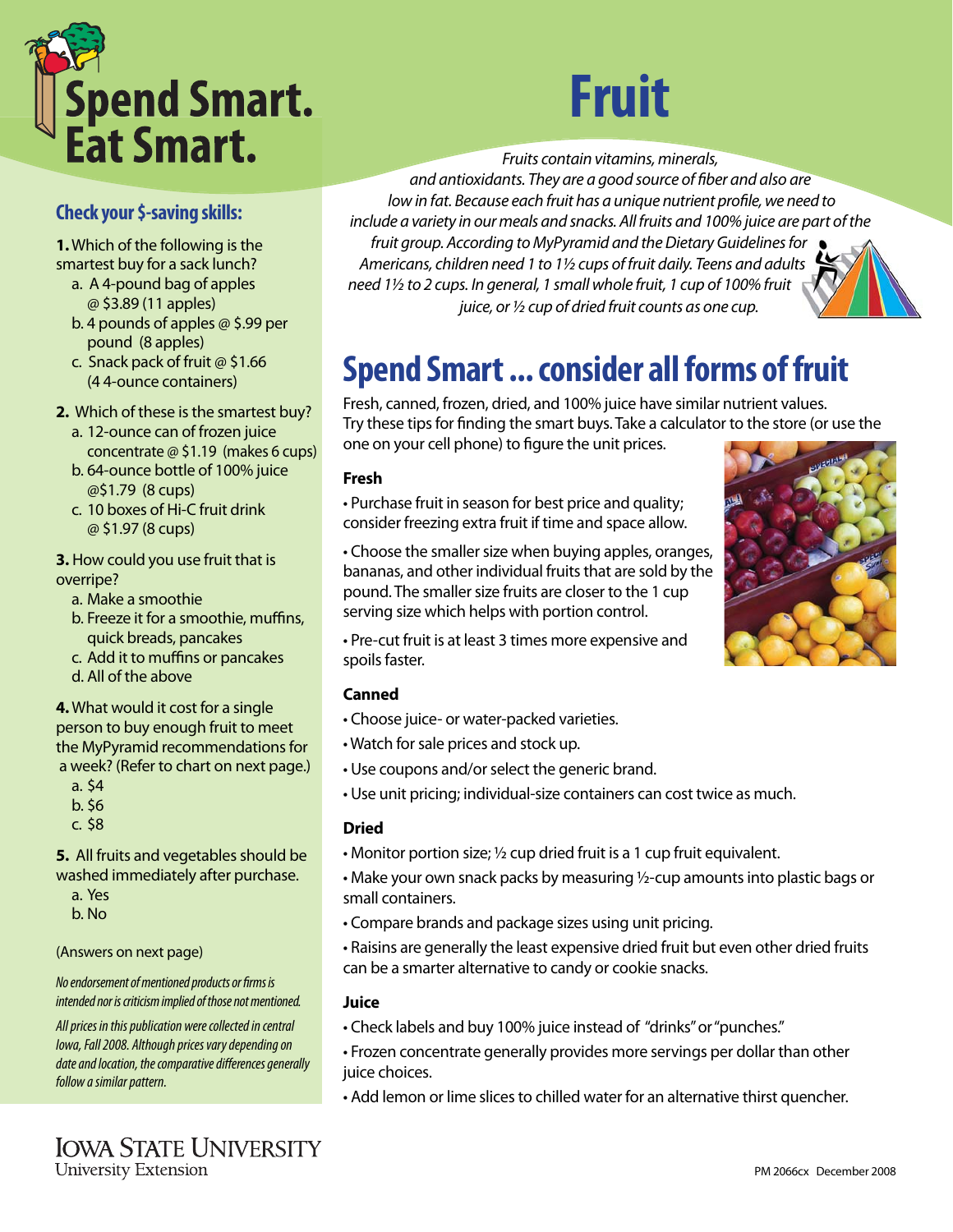

### **Check your \$-saving skills:**

**1.** Which of the following is the smartest buy for a sack lunch?

- a. A 4-pound bag of apples @ \$3.89 (11 apples)
- b. 4 pounds of apples @ \$.99 per pound (8 apples)
- c. Snack pack of fruit @ \$1.66 (4 4-ounce containers)

**2.** Which of these is the smartest buy?

- a. 12-ounce can of frozen juice concentrate @ \$1.19 (makes 6 cups)
- b. 64-ounce bottle of 100% juice @\$1.79 (8 cups)
- c. 10 boxes of Hi-C fruit drink @ \$1.97 (8 cups)

**3.** How could you use fruit that is overripe?

- a. Make a smoothie
- b. Freeze it for a smoothie, muffins, quick breads, pancakes
- c. Add it to muffins or pancakes
- d. All of the above

**4.** What would it cost for a single person to buy enough fruit to meet the MyPyramid recommendations for a week? (Refer to chart on next page.)

- a. \$4
- b. \$6
- c. \$8

**5.** All fruits and vegetables should be washed immediately after purchase.

- a. Yes
- b. No

#### (Answers on next page)

No endorsement of mentioned products or firms is intended nor is criticism implied of those not mentioned.

All prices in this publication were collected in central Iowa, Fall 2008. Although prices vary depending on date and location, the comparative differences generally follow a similar pattern.

# **Fruit**

Fruits contain vitamins, minerals,

and antioxidants. They are a good source of fiber and also are low in fat. Because each fruit has a unique nutrient profile, we need to include a variety in our meals and snacks. All fruits and 100% juice are part of the fruit group. According to MyPyramid and the Dietary Guidelines for Americans, children need 1 to 1½ cups of fruit daily. Teens and adults need 11/2 to 2 cups. In general, 1 small whole fruit, 1 cup of 100% fruit juice, or ½ cup of dried fruit counts as one cup.

## **Spend Smart ... consider all forms of fruit**

Fresh, canned, frozen, dried, and 100% juice have similar nutrient values. Try these tips for finding the smart buys. Take a calculator to the store (or use the one on your cell phone) to figure the unit prices.

#### **Fresh**

- Purchase fruit in season for best price and quality; consider freezing extra fruit if time and space allow.
- Choose the smaller size when buying apples, oranges, bananas, and other individual fruits that are sold by the pound. The smaller size fruits are closer to the 1 cup serving size which helps with portion control.



• Pre-cut fruit is at least 3 times more expensive and spoils faster.

#### **Canned**

- Choose juice- or water-packed varieties.
- Watch for sale prices and stock up.
- Use coupons and/or select the generic brand.
- Use unit pricing; individual-size containers can cost twice as much.

#### **Dried**

- Monitor portion size;  $\frac{1}{2}$  cup dried fruit is a 1 cup fruit equivalent.
- Make your own snack packs by measuring ½-cup amounts into plastic bags or small containers.
- Compare brands and package sizes using unit pricing.
- Raisins are generally the least expensive dried fruit but even other dried fruits can be a smarter alternative to candy or cookie snacks.

#### **Juice**

- Check labels and buy 100% juice instead of "drinks" or "punches."
- Frozen concentrate generally provides more servings per dollar than other juice choices.
- Add lemon or lime slices to chilled water for an alternative thirst quencher.